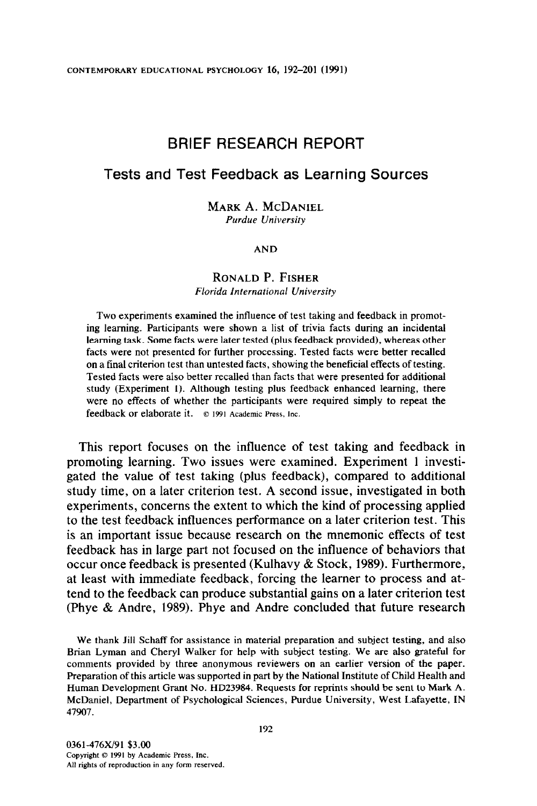# BRIEF RESEARCH REPORT

# Tests and Test Feedback as Learning Sources

MARK A. MCDANIEL Purdue University

#### AND

#### RONALD P. FISHER Florida International University

Two experiments examined the influence of test taking and feedback in promoting learning. Participants were shown a list of trivia facts during an incidental learning task. Some facts were later tested (plus feedback provided), whereas other facts were not presented for further processing. Tested facts were better recalled on a final criterion test than untested facts, showing the beneficial effects of testing. Tested facts were also better recalled than facts that were presented for additional study (Experiment 1). Although testing plus feedback enhanced learning, there were no effects of whether the participants were required simply to repeat the feedback or elaborate it.  $\circ$  1991 Academic Press, Inc.

This report focuses on the influence of test taking and feedback in promoting learning. Two issues were examined. Experiment 1 investigated the value of test taking (plus feedback), compared to additional study time, on a later criterion test. A second issue, investigated in both experiments, concerns the extent to which the kind of processing applied to the test feedback influences performance on a later criterion test. This is an important issue because research on the mnemonic effects of test feedback has in large part not focused on the influence of behaviors that occur once feedback is presented (Kulhavy & Stock, 1989). Furthermore, at least with immediate feedback, forcing the learner to process and attend to the feedback can produce substantial gains on a later criterion test (Phye & Andre, 1989). Phye and Andre concluded that future research

We thank Jill Schaff for assistance in material preparation and subject testing, and also Brian Lyman and Cheryl Walker for help with subject testing. We are also grateful for comments provided by three anonymous reviewers on an earlier version of the paper. Preparation of this article was supported in part by the National Institute of Child Health and Human Development Grant No. HD23984. Requests for reprints should be sent to Mark A. McDaniel, Department of Psychological Sciences, Purdue University, West Lafayette, IN 47907.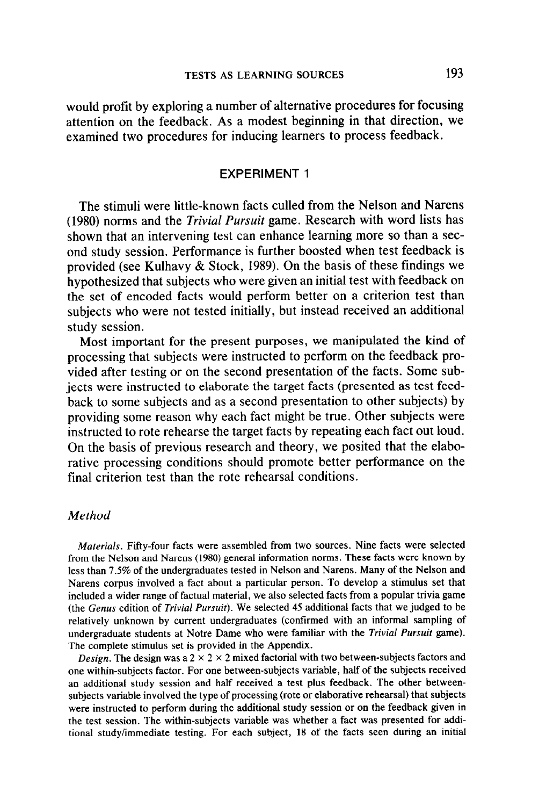would profit by exploring a number of alternative procedures for focusing attention on the feedback. As a modest beginning in that direction, we examined two procedures for inducing learners to process feedback.

## EXPERIMENT 1

The stimuli were little-known facts culled from the Nelson and Narens (1980) norms and the Trivial Pursuit game. Research with word lists has shown that an intervening test can enhance learning more so than a second study session. Performance is further boosted when test feedback is provided (see Kulhavy & Stock, 1989). On the basis of these findings we hypothesized that subjects who were given an initial test with feedback on the set of encoded facts would perform better on a criterion test than subjects who were not tested initially, but instead received an additional study session.

Most important for the present purposes, we manipulated the kind of processing that subjects were instructed to perform on the feedback provided after testing or on the second presentation of the facts. Some subjects were instructed to elaborate the target facts (presented as test feedback to some subjects and as a second presentation to other subjects) by providing some reason why each fact might be true. Other subjects were instructed to rote rehearse the target facts by repeating each fact out loud. On the basis of previous research and theory, we posited that the elaborative processing conditions should promote better performance on the final criterion test than the rote rehearsal conditions.

### Method

Materials. Fifty-four facts were assembled from two sources. Nine facts were selected from the Nelson and Narens (1980) general information norms. These facts were known by less than 7.5% of the undergraduates tested in Nelson and Narens. Many of the Nelson and Narens corpus involved a fact about a particular person. To develop a stimulus set that included a wider range of factual material, we also selected facts from a popular trivia game (the Genus edition of Trivial Pursuit). We selected 45 additional facts that we judged to be relatively unknown by current undergraduates (confirmed with an informal sampling of undergraduate students at Notre Dame who were familiar with the Trivial Pursuit game). The complete stimulus set is provided in the Appendix.

Design. The design was a  $2 \times 2 \times 2$  mixed factorial with two between-subjects factors and one within-subjects factor. For one between-subjects variable, half of the subjects received an additional study session and half received a test plus feedback. The other betweensubjects variable involved the type of processing (rote or elaborative rehearsal) that subjects were instructed to perform during the additional study session or on the feedback given in the test session. The within-subjects variable was whether a fact was presented for additional study/immediate testing. For each subject, 18 of the facts seen during an initial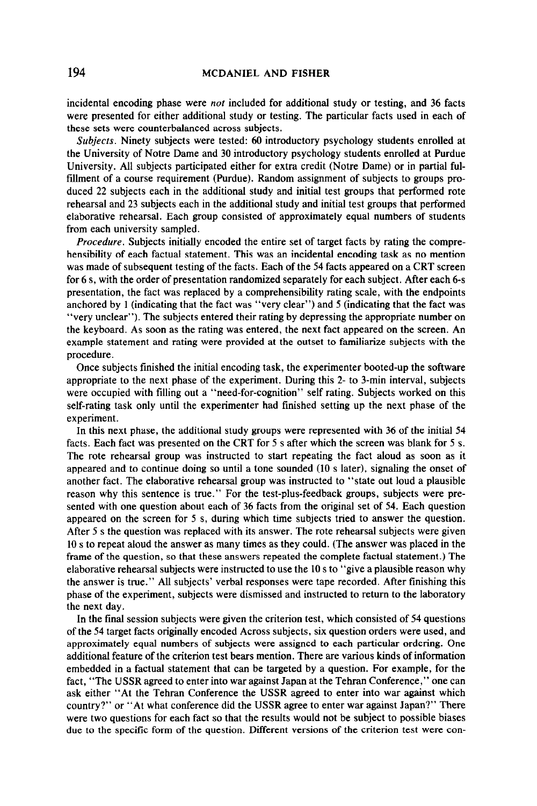incidental encoding phase were *not* included for additional study or testing, and 36 facts were presented for either additional study or testing. The particular facts used in each of these sets were counterbalanced across subjects.

Subjects. Ninety subjects were tested: 60 introductory psychology students enrolled at the University of Notre Dame and 30 introductory psychology students enrolled at Purdue University. All subjects participated either for extra credit (Notre Dame) or in partial fulfillment of a course requirement (Purdue). Random assignment of subjects to groups produced 22 subjects each in the additional study and initial test groups that performed rote rehearsal and 23 subjects each in the additional study and initial test groups that performed elaborative rehearsal. Each group consisted of approximately equal numbers of students from each university sampled.

Procedure. Subjects initially encoded the entire set of target facts by rating the comprehensibility of each factual statement. This was an incidental encoding task as no mention was made of subsequent testing of the facts. Each of the 54 facts appeared on a CRT screen for 6 s, with the order of presentation randomized separately for each subject. After each 6-s presentation, the fact was replaced by a comprehensibility rating scale, with the endpoints anchored by 1 (indicating that the fact was "very clear") and 5 (indicating that the fact was "very unclear"). The subjects entered their rating by depressing the appropriate number on the keyboard. As soon as the rating was entered, the next fact appeared on the screen. An example statement and rating were provided at the outset to familiarize subjects with the procedure.

Once subjects finished the initial encoding task, the experimenter booted-up the software appropriate to the next phase of the experiment. During this 2- to 3-min interval, subjects were occupied with filling out a "need-for-cognition" self rating. Subjects worked on this self-rating task only until the experimenter had finished setting up the next phase of the experiment.

In this next phase, the additional study groups were represented with 36 of the initial 54 facts. Each fact was presented on the CRT for 5 s after which the screen was blank for 5 s. The rote rehearsal group was instructed to start repeating the fact aloud as soon as it appeared and to continue doing so until a tone sounded (10 s later), signaling the onset of another fact. The elaborative rehearsal group was instructed to "state out loud a plausible reason why this sentence is true." For the test-plus-feedback groups, subjects were presented with one question about each of 36 facts from the original set of 54. Each question appeared on the screen for 5 s, during which time subjects tried to answer the question. After 5 s the question was replaced with its answer. The rote rehearsal subjects were given 10 s to repeat aloud the answer as many times as they could. (The answer was placed in the frame of the question, so that these answers repeated the complete factual statement.) The elaborative rehearsal subjects were instructed to use the 10 s to "give a plausible reason why the answer is true." All subjects' verbal responses were tape recorded. After finishing this phase of the experiment, subjects were dismissed and instructed to return to the laboratory the next day.

In the final session subjects were given the criterion test, which consisted of 54 questions of the 54 target facts originally encoded Across subjects, six question orders were used, and approximately equal numbers of subjects were assigned to each particular ordering. One additional feature of the criterion test bears mention. There are various kinds of information embedded in a factual statement that can be targeted by a question. For example, for the fact, "The USSR agreed to enter into war against Japan at the Tehran Conference," one can ask either "At the Tehran Conference the USSR agreed to enter into war against which country?" or "At what conference did the USSR agree to enter war against Japan?" There were two questions for each fact so that the results would not be subject to possible biases due to the specific form of the question. Different versions of the criterion test were con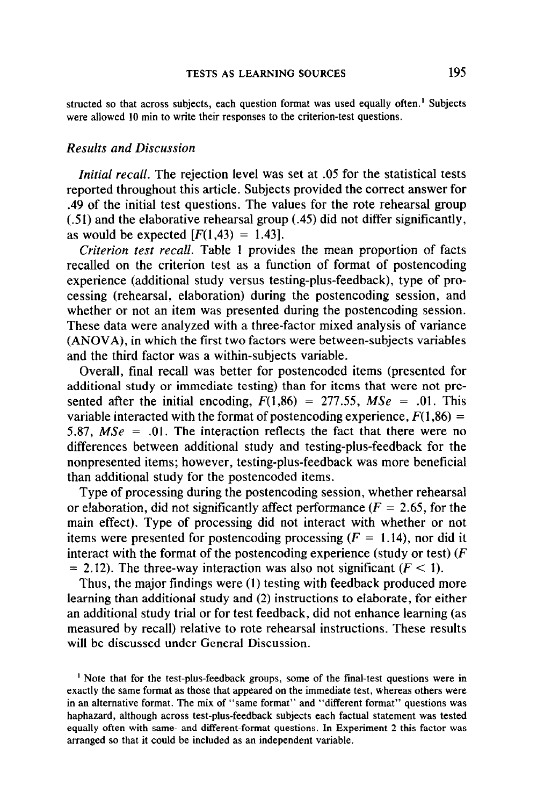structed so that across subjects, each question format was used equally often.<sup>1</sup> Subjects were allowed 10 min to write their responses to the criterion-test questions.

### Results and Discussion

Initial recall. The rejection level was set at .05 for the statistical tests reported throughout this article. Subjects provided the correct answer for .49 of the initial test questions. The values for the rote rehearsal group (.51) and the elaborative rehearsal group (.45) did not differ significantly, as would be expected  $[F(1,43) = 1.43]$ .

Criterion test recall. Table 1 provides the mean proportion of facts recalled on the criterion test as a function of format of postencoding experience (additional study versus testing-plus-feedback), type of processing (rehearsal, elaboration) during the postencoding session, and whether or not an item was presented during the postencoding session. These data were analyzed with a three-factor mixed analysis of variance (ANOVA), in which the first two factors were between-subjects variables and the third factor was a within-subjects variable.

Overall, final recall was better for postencoded items (presented for additional study or immediate testing) than for items that were not presented after the initial encoding,  $F(1,86) = 277.55$ ,  $MSe = .01$ . This variable interacted with the format of postencoding experience,  $F(1,86) =$ 5.87,  $MSe = 0.01$ . The interaction reflects the fact that there were no differences between additional study and testing-plus-feedback for the nonpresented items; however, testing-plus-feedback was more beneficial than additional study for the postencoded items.

Type of processing during the postencoding session, whether rehearsal or elaboration, did not significantly affect performance ( $F = 2.65$ , for the main effect). Type of processing did not interact with whether or not items were presented for postencoding processing  $(F = 1.14)$ , nor did it interact with the format of the postencoding experience (study or test)  $(F)$ = 2.12). The three-way interaction was also not significant ( $F < 1$ ).

Thus, the major findings were (1) testing with feedback produced more learning than additional study and (2) instructions to elaborate, for either an additional study trial or for test feedback, did not enhance learning (as measured by recall) relative to rote rehearsal instructions. These results will be discussed under General Discussion.

<sup>&#</sup>x27; Note that for the test-plus-feedback groups, some of the final-test questions were in exactly the same format as those that appeared on the immediate test, whereas others were in an alternative format. The mix of "same format" and "different format" questions was haphazard, although across test-plus-feedback subjects each factual statement was tested equally often with same- and different-format questions. In Experiment 2 this factor was arranged so that it could be included as an independent variable.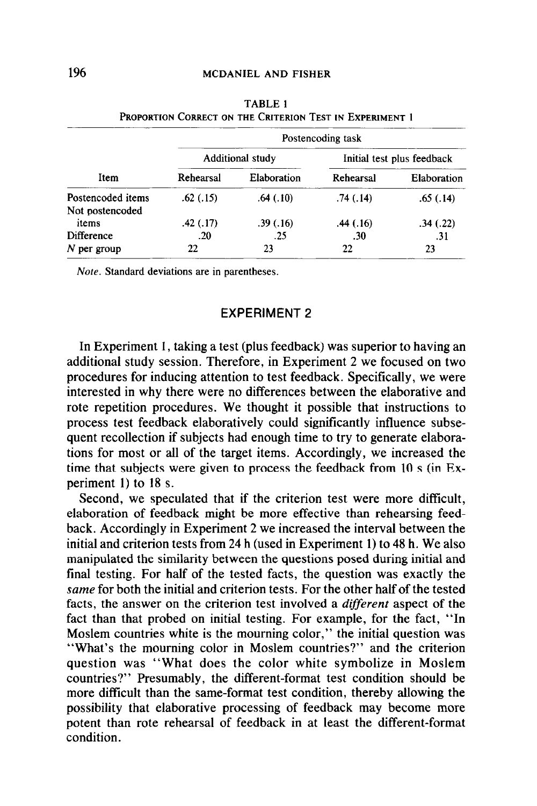## 196 MCDANIEL AND FISHER

|                                      | Postencoding task       |                 |                 |                            |  |
|--------------------------------------|-------------------------|-----------------|-----------------|----------------------------|--|
|                                      | <b>Additional study</b> |                 |                 | Initial test plus feedback |  |
| Item                                 | Rehearsal               | Elaboration     | Rehearsal       | Elaboration                |  |
| Postencoded items<br>Not postencoded | .62(.15)                | .64(.10)        | .74(.14)        | .65(.14)                   |  |
| items<br><b>Difference</b>           | .42(.17)<br>.20         | .39(.16)<br>.25 | .44(.16)<br>.30 | .34(.22)                   |  |
| $N$ per group                        | 22                      | 23              | 22              | .31<br>23                  |  |

| TABLE 1                                                  |  |
|----------------------------------------------------------|--|
| Proportion Correct on the Criterion Test in Experiment 1 |  |

Note. Standard deviations are in parentheses.

#### EXPERIMENT 2

In Experiment 1, taking a test (plus feedback) was superior to having an additional study session. Therefore, in Experiment 2 we focused on two procedures for inducing attention to test feedback. Specifically, we were interested in why there were no differences between the elaborative and rote repetition procedures. We thought it possible that instructions to process test feedback elaboratively could significantly intluence subsequent recollection if subjects had enough time to try to generate elaborations for most or all of the target items. Accordingly, we increased the time that subjects were given to process the feedback from 10 s (in Experiment 1) to 18 s.

Second, we speculated that if the criterion test were more difficult, elaboration of feedback might be more effective than rehearsing feedback. Accordingly in Experiment 2 we increased the interval between the initial and criterion tests from 24 h (used in Experiment 1) to 48 h. We also manipulated the similarity between the questions posed during initial and final testing. For half of the tested facts, the question was exactly the same for both the initial and criterion tests. For the other half of the tested facts, the answer on the criterion test involved a different aspect of the fact than that probed on initial testing. For example, for the fact, "In Moslem countries white is the mourning color," the initial question was "What's the mourning color in Moslem countries?" and the criterion question was "What does the color white symbolize in Moslem countries?" Presumably, the different-format test condition should be more difficult than the same-format test condition, thereby allowing the possibility that elaborative processing of feedback may become more potent than rote rehearsal of feedback in at least the different-format condition.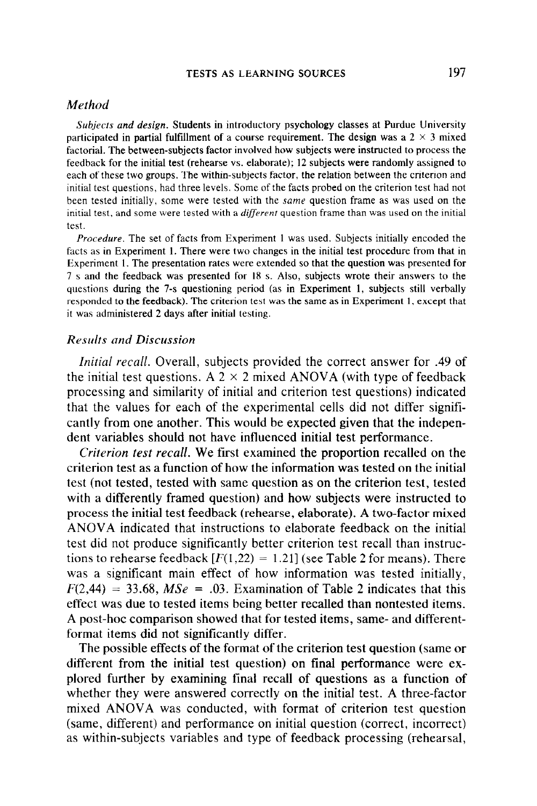#### TESTS AS LEARNING SOURCES 197

#### Method

Subjects and design. Students in introductory psychology classes at Purdue University participated in partial fulfillment of a course requirement. The design was a  $2 \times 3$  mixed factorial. The between-subjects factor involved how subjects were instructed to process the feedback for the initial test (rehearse vs. elaborate); 12 subjects were randomly assigned to each of these two groups. The within-subjects factor, the relation between the criterion and initial test questions, had three levels. Some of the facts probed on the criterion test had not been tested initially, some were tested with the same question frame as was used on the initial test, and some were tested with a *different* question frame than was used on the initial test.

Procedure. The set of facts from Experiment 1 was used. Subjects initially encoded the facts as in Experiment 1. There were two changes in the initial test procedure from that in Experiment 1. The presentation rates were extended so that the question was presented for 7 s and the feedback was presented for I8 s. Also, subjects wrote their answers to the questions during the 7-s questioning period (as in Experiment 1, subjects still verbally responded to the feedback). The criterion test was the same as in Experiment 1, except that it was administered 2 days after initial testing.

#### Results and Discussion

Initial recall. Overall, subjects provided the correct answer for .49 of the initial test questions. A  $2 \times 2$  mixed ANOVA (with type of feedback processing and similarity of initial and criterion test questions) indicated that the values for each of the experimental cells did not differ significantly from one another. This would be expected given that the independent variables should not have influenced initial test performance.

Criterion test recall. We first examined the proportion recalled on the criterion test as a function of how the information was tested on the initial test (not tested, tested with same question as on the criterion test, tested with a differently framed question) and how subjects were instructed to process the initial test feedback (rehearse, elaborate). A two-factor mixed ANOVA indicated that instructions to elaborate feedback on the initial test did not produce significantly better criterion test recall than instructions to rehearse feedback  $[F(1,22) = 1.21]$  (see Table 2 for means). There was a significant main effect of how information was tested initially,  $F(2,44) = 33.68$ ,  $MSe = .03$ . Examination of Table 2 indicates that this effect was due to tested items being better recalled than nontested items. A post-hoc comparison showed that for tested items, same- and differentformat items did not significantly differ.

The possible effects of the format of the criterion test question (same or different from the initial test question) on final performance were explored further by examining final recall of questions as a function of whether they were answered correctly on the initial test. A three-factor mixed ANOVA was conducted, with format of criterion test question (same, different) and performance on initial question (correct, incorrect) as within-subjects variables and type of feedback processing (rehearsal,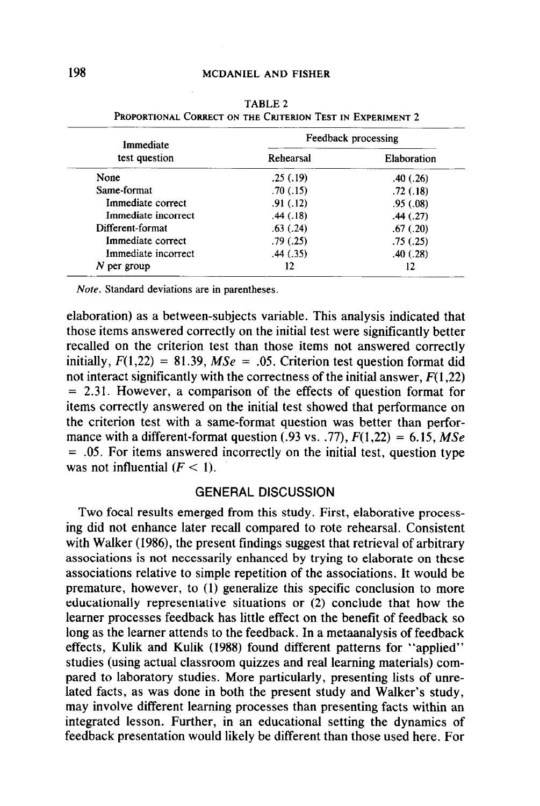| Immediate           | Feedback processing |             |  |
|---------------------|---------------------|-------------|--|
| test question       | Rehearsal           | Elaboration |  |
| None                | .25(.19)            | .40(.26)    |  |
| Same-format         | .70(.15)            | .72 (.18)   |  |
| Immediate correct   | .91(.12)            | .95(0.08)   |  |
| Immediate incorrect | .44(.18)            | .44(.27)    |  |
| Different-format    | .63(.24)            | .67(.20)    |  |
| Immediate correct   | .79(0.25)           | .75(.25)    |  |
| Immediate incorrect | .44(.35)            | .40(.28)    |  |
| $N$ per group       | 12                  | 12          |  |

TABLE 2 PROPORTIONAL CORRECT ON THE CRITERION TEST IN EXPERIMENT 2

Note. Standard deviations are in parentheses.

elaboration) as a between-subjects variable. This analysis indicated that those items answered correctly on the initial test were significantly better recalled on the criterion test than those items not answered correctly initially,  $F(1,22) = 81.39$ ,  $MSe = .05$ . Criterion test question format did not interact significantly with the correctness of the initial answer,  $F(1,22)$ = 2.31. However, a comparison of the effects of question format for items correctly answered on the initial test showed that performance on the criterion test with a same-format question was better than performance with a different-format question (.93 vs. .77),  $F(1.22) = 6.15$ , MSe  $= .05$ . For items answered incorrectly on the initial test, question type was not influential  $(F < 1)$ .

### GENERAL DISCUSSION

Two focal results emerged from this study. First, elaborative processing did not enhance later recall compared to rote rehearsal. Consistent with Walker (1986), the present findings suggest that retrieval of arbitrary associations is not necessarily enhanced by trying to elaborate on these associations relative to simple repetition of the associations. It would be premature, however, to (1) generalize this specific conclusion to more educationally representative situations or (2) conclude that how the learner processes feedback has little effect on the benefit of feedback so long as the learner attends to the feedback. In a metaanalysis of feedback effects, Kulik and Kulik (1988) found different patterns for "applied" studies (using actual classroom quizzes and real learning materials) compared to laboratory studies. More particularly, presenting lists of unrelated facts, as was done in both the present study and Walker's study, may involve different learning processes than presenting facts within an integrated lesson. Further, in an educational setting the dynamics of feedback presentation would likely be different than those used here. For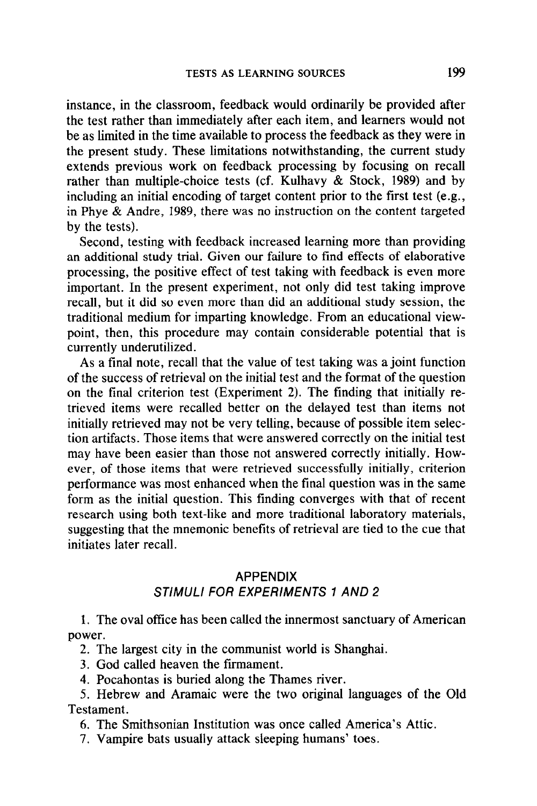instance, in the classroom, feedback would ordinarily be provided after the test rather than immediately after each item, and learners would not be as limited in the time available to process the feedback as they were in the present study. These limitations notwithstanding, the current study extends previous work on feedback processing by focusing on recall rather than multiple-choice tests (cf. Kulhavy & Stock, 1989) and by including an initial encoding of target content prior to the first test (e.g., in Phye & Andre, 1989, there was no instruction on the content targeted by the tests).

Second, testing with feedback increased learning more than providing an additional study trial. Given our failure to find effects of elaborative processing, the positive effect of test taking with feedback is even more important. In the present experiment, not only did test taking improve recall, but it did so even more than did an additional study session, the traditional medium for imparting knowledge. From an educational viewpoint, then, this procedure may contain considerable potential that is currently underutilized.

As a final note, recall that the value of test taking was a joint function of the success of retrieval on the initial test and the format of the question on the final criterion test (Experiment 2). The finding that initially retrieved items were recalled better on the delayed test than items not initially retrieved may not be very telling, because of possible item selection artifacts. Those items that were answered correctly on the initial test may have been easier than those not answered correctly initially. However, of those items that were retrieved successfully initially, criterion performance was most enhanced when the final question was in the same form as the initial question. This finding converges with that of recent research using both text-like and more traditional laboratory materials, suggesting that the mnemonic benefits of retrieval are tied to the cue that initiates later recall.

#### APPENDIX STIMULI FOR EXPERIMENTS 1 AND 2

1. The oval office has been called the innermost sanctuary of American power.

2. The largest city in the communist world is Shanghai.

- 3. God called heaven the firmament.
- 4. Pocahontas is buried along the Thames river.

5. Hebrew and Aramaic were the two original languages of the Old Testament.

6. The Smithsonian Institution was once called America's Attic.

7. Vampire bats usually attack sleeping humans' toes.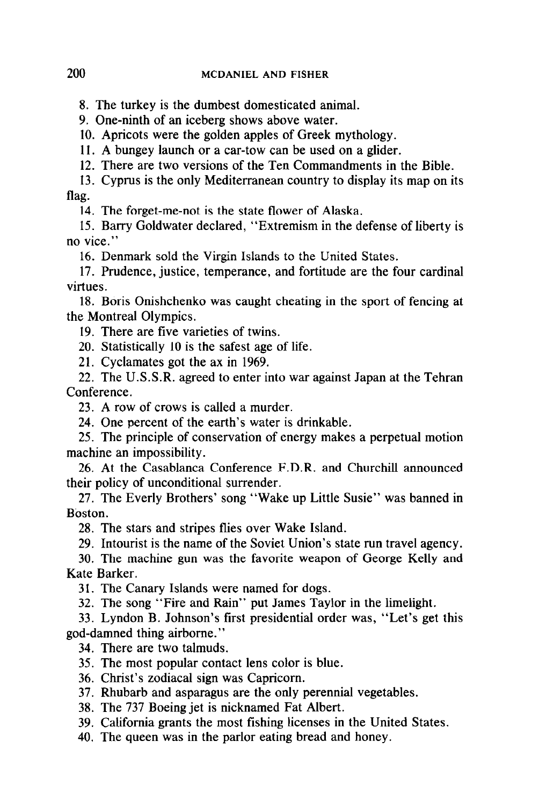200 MCDANIEL AND FISHER

8. The turkey is the dumbest domesticated animal.

9. One-ninth of an iceberg shows above water.

10. Apricots were the golden apples of Greek mythology.

11. A bungey launch or a car-tow can be used on a glider.

12. There are two versions of the Ten Commandments in the Bible.

13. Cyprus is the only Mediterranean country to display its map on its flag.

14. The forget-me-not is the state flower of Alaska.

15. Barry Goldwater declared, "Extremism in the defense of liberty is no vice."

16. Denmark sold the Virgin Islands to the United States,

17. Prudence, justice, temperance, and fortitude are the four cardinal virtues.

18. Boris Onishchenko was caught cheating in the sport of fencing at the Montreal Olympics.

19. There are five varieties of twins.

20. Statistically 10 is the safest age of life.

21. Cyclamates got the ax in 1969.

22. The U.S.S.R. agreed to enter into war against Japan at the Tehran Conference.

23. A row of crows is called a murder.

24. One percent of the earth's water is drinkable.

25. The principle of conservation of energy makes a perpetual motion machine an impossibility.

26. At the Casablanca Conference F.D.R. and Churchill announced their policy of unconditional surrender.

27. The Everly Brothers' song "Wake up Little Susie" was banned in Boston.

28. The stars and stripes flies over Wake Island.

29. Intourist is the name of the Soviet Union's state run travel agency.

30. The machine gun was the favorite weapon of George Kelly and Kate Barker.

31. The Canary Islands were named for dogs.

32. The song "Fire and Rain" put James Taylor in the limelight.

33. Lyndon B. Johnson's first presidential order was, "Let's get this god-damned thing airborne."

34. There are two talmuds.

35. The most popular contact lens color is blue.

36. Christ's zodiacal sign was Capricorn.

37. Rhubarb and asparagus are the only perennial vegetables.

38. The 737 Boeing jet is nicknamed Fat Albert.

39. California grants the most fishing licenses in the United States.

40. The queen was in the parlor eating bread and honey.